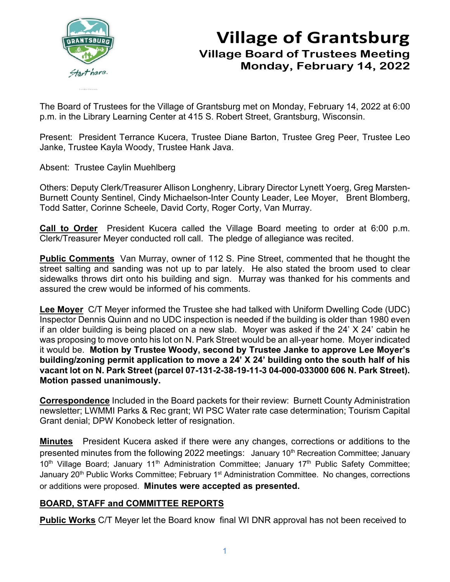

# **Village of Grantsburg Village Board of Trustees Meeting Monday, February 14, 2022**

The Board of Trustees for the Village of Grantsburg met on Monday, February 14, 2022 at 6:00 p.m. in the Library Learning Center at 415 S. Robert Street, Grantsburg, Wisconsin.

Present: President Terrance Kucera, Trustee Diane Barton, Trustee Greg Peer, Trustee Leo Janke, Trustee Kayla Woody, Trustee Hank Java.

Absent: Trustee Caylin Muehlberg

Others: Deputy Clerk/Treasurer Allison Longhenry, Library Director Lynett Yoerg, Greg Marsten-Burnett County Sentinel, Cindy Michaelson-Inter County Leader, Lee Moyer, Brent Blomberg, Todd Satter, Corinne Scheele, David Corty, Roger Corty, Van Murray.

**Call to Order** President Kucera called the Village Board meeting to order at 6:00 p.m. Clerk/Treasurer Meyer conducted roll call. The pledge of allegiance was recited.

**Public Comments** Van Murray, owner of 112 S. Pine Street, commented that he thought the street salting and sanding was not up to par lately. He also stated the broom used to clear sidewalks throws dirt onto his building and sign. Murray was thanked for his comments and assured the crew would be informed of his comments.

**Lee Moyer** C/T Meyer informed the Trustee she had talked with Uniform Dwelling Code (UDC) Inspector Dennis Quinn and no UDC inspection is needed if the building is older than 1980 even if an older building is being placed on a new slab. Moyer was asked if the 24' X 24' cabin he was proposing to move onto his lot on N. Park Street would be an all-year home. Moyer indicated it would be. **Motion by Trustee Woody, second by Trustee Janke to approve Lee Moyer's building/zoning permit application to move a 24' X 24' building onto the south half of his vacant lot on N. Park Street (parcel 07-131-2-38-19-11-3 04-000-033000 606 N. Park Street). Motion passed unanimously.**

**Correspondence** Included in the Board packets for their review: Burnett County Administration newsletter; LWMMI Parks & Rec grant; WI PSC Water rate case determination; Tourism Capital Grant denial; DPW Konobeck letter of resignation.

**Minutes** President Kucera asked if there were any changes, corrections or additions to the presented minutes from the following 2022 meetings: January 10<sup>th</sup> Recreation Committee; January 10<sup>th</sup> Village Board; January 11<sup>th</sup> Administration Committee; January 17<sup>th</sup> Public Safety Committee; January 20<sup>th</sup> Public Works Committee; February 1<sup>st</sup> Administration Committee. No changes, corrections or additions were proposed. **Minutes were accepted as presented.**

## **BOARD, STAFF and COMMITTEE REPORTS**

**Public Works** C/T Meyer let the Board know final WI DNR approval has not been received to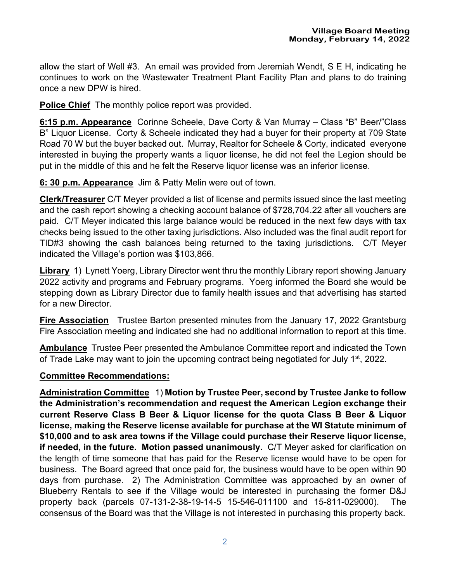allow the start of Well #3. An email was provided from Jeremiah Wendt, S E H, indicating he continues to work on the Wastewater Treatment Plant Facility Plan and plans to do training once a new DPW is hired.

**Police Chief** The monthly police report was provided.

**6:15 p.m. Appearance** Corinne Scheele, Dave Corty & Van Murray – Class "B" Beer/"Class B" Liquor License. Corty & Scheele indicated they had a buyer for their property at 709 State Road 70 W but the buyer backed out. Murray, Realtor for Scheele & Corty, indicated everyone interested in buying the property wants a liquor license, he did not feel the Legion should be put in the middle of this and he felt the Reserve liquor license was an inferior license.

**6: 30 p.m. Appearance** Jim & Patty Melin were out of town.

**Clerk/Treasurer** C/T Meyer provided a list of license and permits issued since the last meeting and the cash report showing a checking account balance of \$728,704.22 after all vouchers are paid. C/T Meyer indicated this large balance would be reduced in the next few days with tax checks being issued to the other taxing jurisdictions. Also included was the final audit report for TID#3 showing the cash balances being returned to the taxing jurisdictions. C/T Meyer indicated the Village's portion was \$103,866.

**Library** 1) Lynett Yoerg, Library Director went thru the monthly Library report showing January 2022 activity and programs and February programs. Yoerg informed the Board she would be stepping down as Library Director due to family health issues and that advertising has started for a new Director.

**Fire Association** Trustee Barton presented minutes from the January 17, 2022 Grantsburg Fire Association meeting and indicated she had no additional information to report at this time.

**Ambulance** Trustee Peer presented the Ambulance Committee report and indicated the Town of Trade Lake may want to join the upcoming contract being negotiated for July 1<sup>st</sup>, 2022.

### **Committee Recommendations:**

**Administration Committee** 1) **Motion by Trustee Peer, second by Trustee Janke to follow the Administration's recommendation and request the American Legion exchange their current Reserve Class B Beer & Liquor license for the quota Class B Beer & Liquor license, making the Reserve license available for purchase at the WI Statute minimum of \$10,000 and to ask area towns if the Village could purchase their Reserve liquor license, if needed, in the future. Motion passed unanimously.** C/T Meyer asked for clarification on the length of time someone that has paid for the Reserve license would have to be open for business. The Board agreed that once paid for, the business would have to be open within 90 days from purchase. 2) The Administration Committee was approached by an owner of Blueberry Rentals to see if the Village would be interested in purchasing the former D&J property back (parcels 07-131-2-38-19-14-5 15-546-011100 and 15-811-029000). The consensus of the Board was that the Village is not interested in purchasing this property back.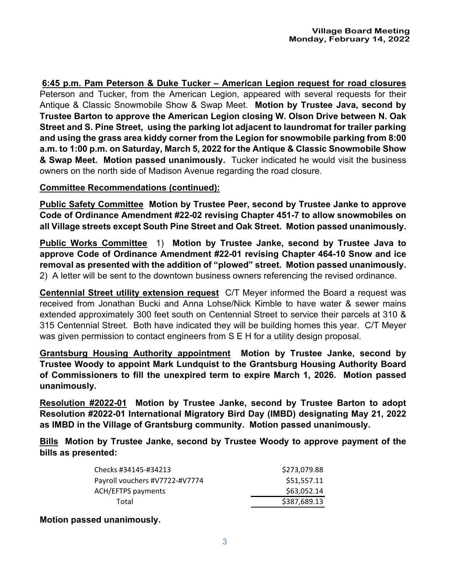**6:45 p.m. Pam Peterson & Duke Tucker – American Legion request for road closures** Peterson and Tucker, from the American Legion, appeared with several requests for their Antique & Classic Snowmobile Show & Swap Meet. **Motion by Trustee Java, second by Trustee Barton to approve the American Legion closing W. Olson Drive between N. Oak Street and S. Pine Street, using the parking lot adjacent to laundromat for trailer parking and using the grass area kiddy corner from the Legion for snowmobile parking from 8:00 a.m. to 1:00 p.m. on Saturday, March 5, 2022 for the Antique & Classic Snowmobile Show & Swap Meet. Motion passed unanimously.** Tucker indicated he would visit the business owners on the north side of Madison Avenue regarding the road closure.

### **Committee Recommendations (continued):**

**Public Safety Committee Motion by Trustee Peer, second by Trustee Janke to approve Code of Ordinance Amendment #22-02 revising Chapter 451-7 to allow snowmobiles on all Village streets except South Pine Street and Oak Street. Motion passed unanimously.**

**Public Works Committee** 1) **Motion by Trustee Janke, second by Trustee Java to approve Code of Ordinance Amendment #22-01 revising Chapter 464-10 Snow and ice removal as presented with the addition of "plowed" street. Motion passed unanimously.**  2) A letter will be sent to the downtown business owners referencing the revised ordinance.

**Centennial Street utility extension request** C/T Meyer informed the Board a request was received from Jonathan Bucki and Anna Lohse/Nick Kimble to have water & sewer mains extended approximately 300 feet south on Centennial Street to service their parcels at 310 & 315 Centennial Street. Both have indicated they will be building homes this year. C/T Meyer was given permission to contact engineers from S E H for a utility design proposal.

**Grantsburg Housing Authority appointment Motion by Trustee Janke, second by Trustee Woody to appoint Mark Lundquist to the Grantsburg Housing Authority Board of Commissioners to fill the unexpired term to expire March 1, 2026. Motion passed unanimously.**

**Resolution #2022-01 Motion by Trustee Janke, second by Trustee Barton to adopt Resolution #2022-01 International Migratory Bird Day (IMBD) designating May 21, 2022 as IMBD in the Village of Grantsburg community. Motion passed unanimously.**

**Bills Motion by Trustee Janke, second by Trustee Woody to approve payment of the bills as presented:** 

| Checks #34145-#34213           | \$273,079.88 |
|--------------------------------|--------------|
| Payroll vouchers #V7722-#V7774 | \$51,557.11  |
| <b>ACH/EFTPS payments</b>      | \$63,052.14  |
| Total                          | \$387,689.13 |
|                                |              |

#### **Motion passed unanimously.**